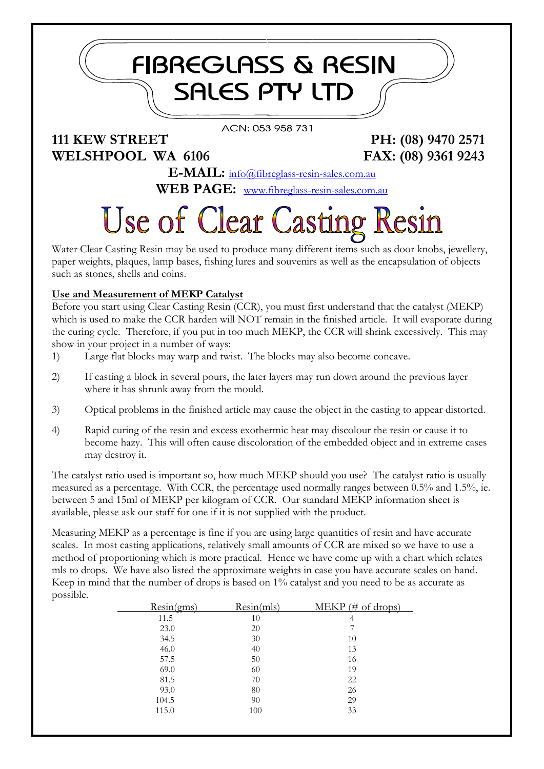## **FIBREGLASS & RESIN SALES PTY LTD**

#### ACN: 053 958 731

### **111 KEW STREET PH: (08) 9470 2571 WELSHPOOL WA 6106 FAX: (08) 9361 9243**

**E-MAIL:** [info@fibreglass-resin-sales.com.au](mailto:info@fibreglass-resin-sales.com.au) **WEB PAGE:** [www.fibreglass-resin-sales.com.au](http://www.fibreglass-resin-sales.com.au/)

# **Use of Clear Casting Resin**

Water Clear Casting Resin may be used to produce many different items such as door knobs, jewellery, paper weights, plaques, lamp bases, fishing lures and souvenirs as well as the encapsulation of objects such as stones, shells and coins.

#### **Use and Measurement of MEKP Catalyst**

Before you start using Clear Casting Resin (CCR), you must first understand that the catalyst (MEKP) which is used to make the CCR harden will NOT remain in the finished article. It will evaporate during the curing cycle. Therefore, if you put in too much MEKP, the CCR will shrink excessively. This may show in your project in a number of ways:

- 1) Large flat blocks may warp and twist. The blocks may also become concave.
- 2) If casting a block in several pours, the later layers may run down around the previous layer where it has shrunk away from the mould.
- 3) Optical problems in the finished article may cause the object in the casting to appear distorted.
- 4) Rapid curing of the resin and excess exothermic heat may discolour the resin or cause it to become hazy. This will often cause discoloration of the embedded object and in extreme cases may destroy it.

The catalyst ratio used is important so, how much MEKP should you use? The catalyst ratio is usually measured as a percentage. With CCR, the percentage used normally ranges between 0.5% and 1.5%, ie. between 5 and 15ml of MEKP per kilogram of CCR. Our standard MEKP information sheet is available, please ask our staff for one if it is not supplied with the product.

Measuring MEKP as a percentage is fine if you are using large quantities of resin and have accurate scales. In most casting applications, relatively small amounts of CCR are mixed so we have to use a method of proportioning which is more practical. Hence we have come up with a chart which relates mls to drops. We have also listed the approximate weights in case you have accurate scales on hand. Keep in mind that the number of drops is based on 1% catalyst and you need to be as accurate as possible.

| Resin(gms) | Resin(mls) | $MEKP$ (# of drops) |
|------------|------------|---------------------|
| 11.5       | 10         | 4                   |
| 23.0       | 20         |                     |
| 34.5       | 30         | 10                  |
| 46.0       | 40         | 13                  |
| 57.5       | 50         | 16                  |
| 69.0       | 60         | 19                  |
| 81.5       | 70         | 22                  |
| 93.0       | 80         | 26                  |
| 104.5      | 90         | 29                  |
| 115.0      | 100        | 33                  |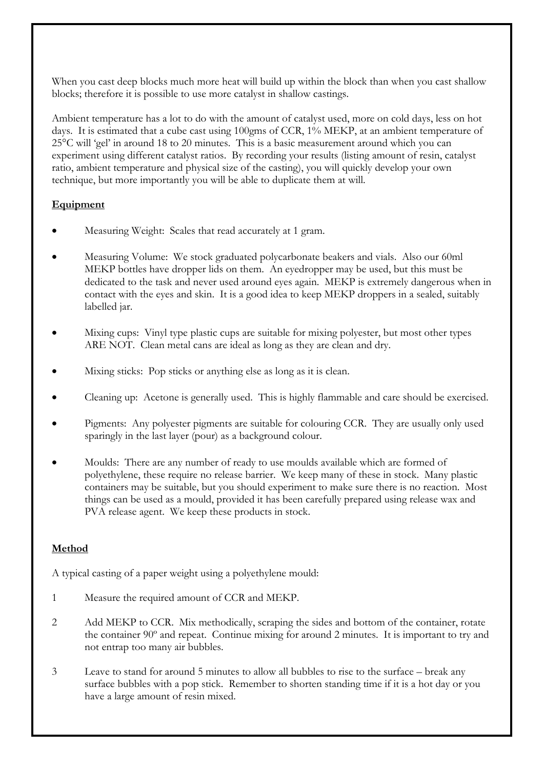When you cast deep blocks much more heat will build up within the block than when you cast shallow blocks; therefore it is possible to use more catalyst in shallow castings.

Ambient temperature has a lot to do with the amount of catalyst used, more on cold days, less on hot days. It is estimated that a cube cast using 100gms of CCR, 1% MEKP, at an ambient temperature of 25°C will 'gel' in around 18 to 20 minutes. This is a basic measurement around which you can experiment using different catalyst ratios. By recording your results (listing amount of resin, catalyst ratio, ambient temperature and physical size of the casting), you will quickly develop your own technique, but more importantly you will be able to duplicate them at will.

#### **Equipment**

- Measuring Weight: Scales that read accurately at 1 gram.
- Measuring Volume: We stock graduated polycarbonate beakers and vials. Also our 60ml MEKP bottles have dropper lids on them. An eyedropper may be used, but this must be dedicated to the task and never used around eyes again. MEKP is extremely dangerous when in contact with the eyes and skin. It is a good idea to keep MEKP droppers in a sealed, suitably labelled jar.
- Mixing cups: Vinyl type plastic cups are suitable for mixing polyester, but most other types ARE NOT. Clean metal cans are ideal as long as they are clean and dry.
- Mixing sticks: Pop sticks or anything else as long as it is clean.
- Cleaning up: Acetone is generally used. This is highly flammable and care should be exercised.
- Pigments: Any polyester pigments are suitable for colouring CCR. They are usually only used sparingly in the last layer (pour) as a background colour.
- Moulds: There are any number of ready to use moulds available which are formed of polyethylene, these require no release barrier. We keep many of these in stock. Many plastic containers may be suitable, but you should experiment to make sure there is no reaction. Most things can be used as a mould, provided it has been carefully prepared using release wax and PVA release agent. We keep these products in stock.

#### **Method**

A typical casting of a paper weight using a polyethylene mould:

- 1 Measure the required amount of CCR and MEKP.
- 2 Add MEKP to CCR. Mix methodically, scraping the sides and bottom of the container, rotate the container 90º and repeat. Continue mixing for around 2 minutes. It is important to try and not entrap too many air bubbles.
- 3 Leave to stand for around 5 minutes to allow all bubbles to rise to the surface break any surface bubbles with a pop stick. Remember to shorten standing time if it is a hot day or you have a large amount of resin mixed.